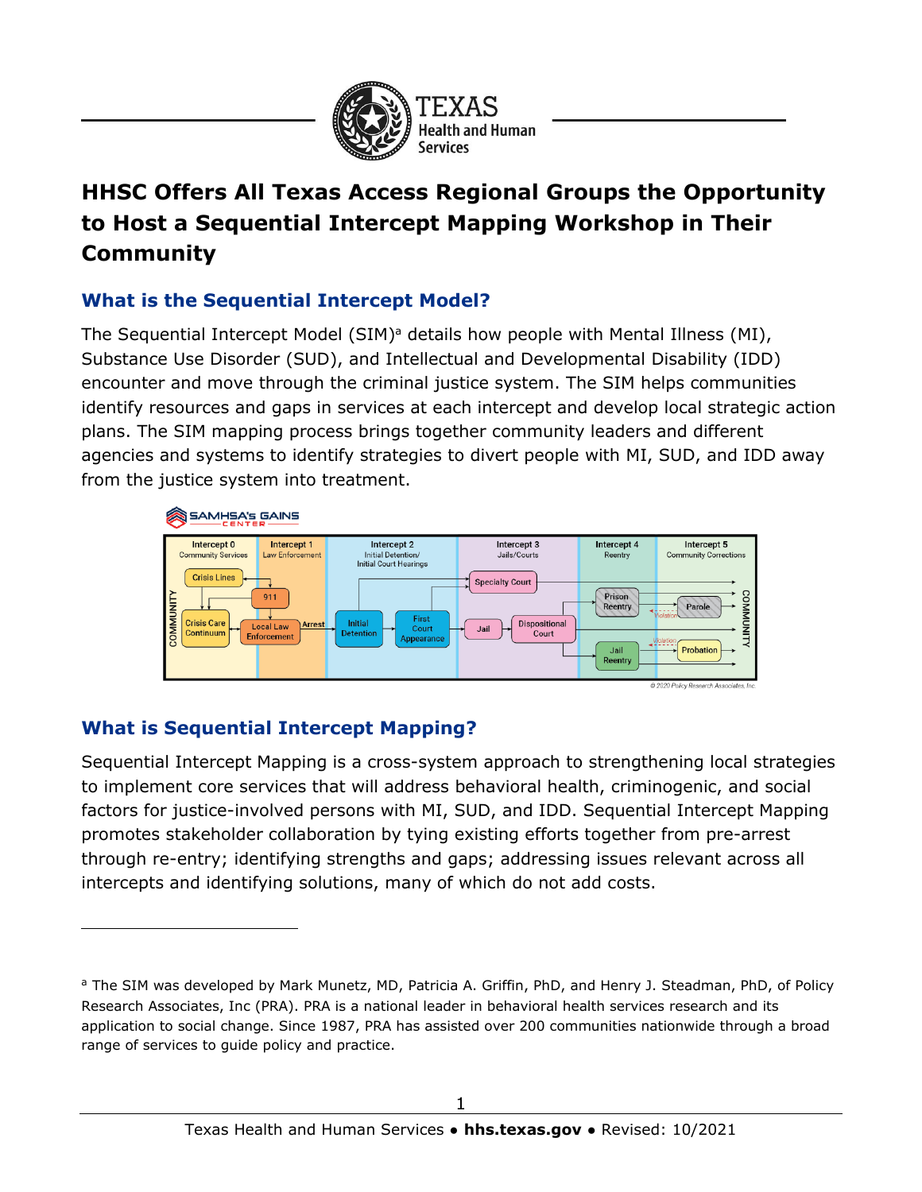

# **HHSC Offers All Texas Access Regional Groups the Opportunity to Host a Sequential Intercept Mapping Workshop in Their Community**

### **What is the Sequential Intercept Model?**

The Sequential Intercept Model (SIM)<sup>a</sup> details how people with Mental Illness (MI), Substance Use Disorder (SUD), and Intellectual and Developmental Disability (IDD) encounter and move through the criminal justice system. The SIM helps communities identify resources and gaps in services at each intercept and develop local strategic action plans. The SIM mapping process brings together community leaders and different agencies and systems to identify strategies to divert people with MI, SUD, and IDD away from the justice system into treatment.



# **What is Sequential Intercept Mapping?**

Sequential Intercept Mapping is a cross-system approach to strengthening local strategies to implement core services that will address behavioral health, criminogenic, and social factors for justice-involved persons with MI, SUD, and IDD. Sequential Intercept Mapping promotes stakeholder collaboration by tying existing efforts together from pre-arrest through re-entry; identifying strengths and gaps; addressing issues relevant across all intercepts and identifying solutions, many of which do not add costs.

a The SIM was developed by Mark Munetz, MD, Patricia A. Griffin, PhD, and Henry J. Steadman, PhD, of Policy Research Associates, Inc (PRA). PRA is a national leader in behavioral health services research and its application to social change. Since 1987, PRA has assisted over 200 communities nationwide through a broad range of services to guide policy and practice.